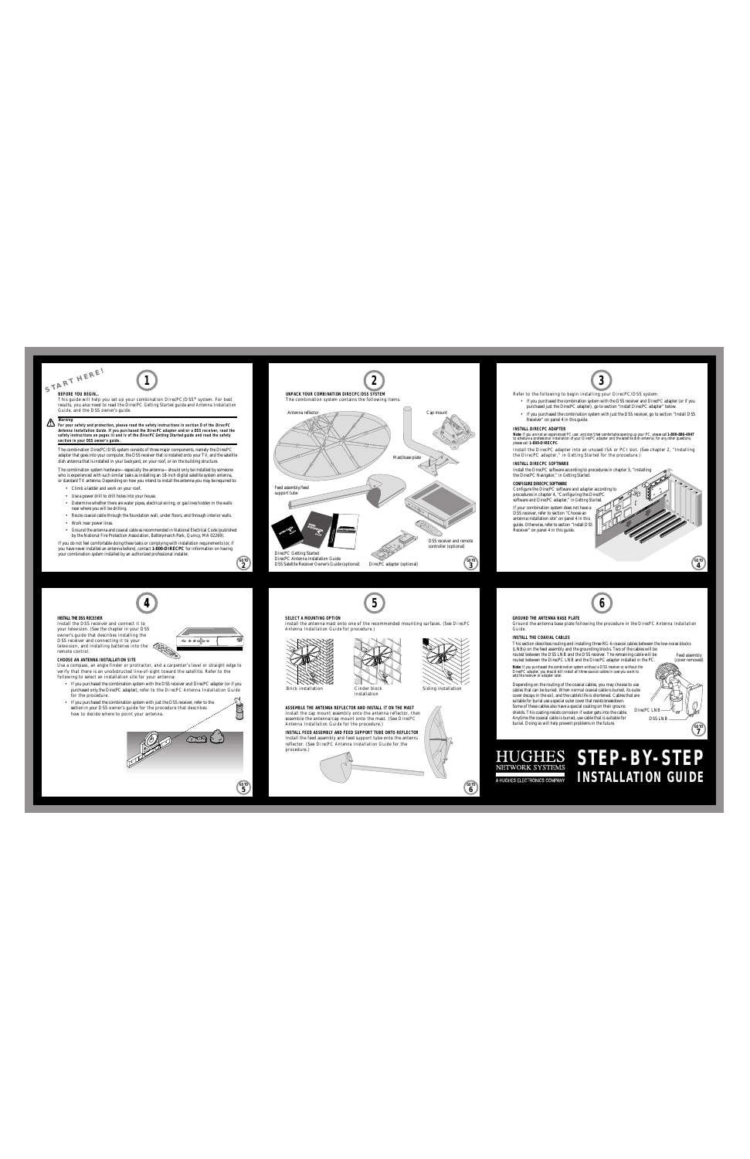**STA<sup>R</sup>T H<sup>E</sup>RE!**

**BEFORE YOU BEGIN…**

This guide will help you set up your combination DirecPC/DSS® system. For best results, you also need to read the DirecPC *Getting Started* guide and *Antenna Installation Guide*, and the DSS owner's guide*.*

**Warning For your safety and protection, please read the safety instructions in section D of the DirecPC Antenna Installation Guide. If you purchased the DirecPC adapter and/or a DSS receiver, read the safety instructions on pages iii and iv of the DirecPC Getting Started guide and read the safety section in your DSS owner's guide.**

The combination DirecPC/DSS system consists of three major components, namely the DirecPC adapter that goes into your computer, the DSS receiver that is installed onto your TV, and the satellite dish antenna that is installed in your backyard, on your roof, or on the building structure.

The combination system hardware—especially the antenna—should only be installed by someone who is experienced with such similar tasks as installing an 18-inch digital satellite system antenna. or standard TV antenna. Depending on how you intend to install the antenna you may be required to:

- Climb a ladder and work on your roof.
- Use a power drill to drill holes into your house.
- Determine whether there are water pipes, electrical wiring, or gas lines hidden in the walls near where you will be drilling.
- Route coaxial cable through the foundation wall, under floors, and through interior walls.
- Work near power lines.
- Ground the antenna and coaxial cable as recommended in National Electrical Code (published by the National Fire Protection Association, Batterymarch Park, Quincy, MA 02269).

If you do not feel comfortable doing these tasks or complying with installation requirements (or, if you have never installed an antenna before), contact **1-800-DIRECPC** for information on having your combination system installed by an authorized professional installer.



Refer to the following to begin installing your DirecPC/DSS system: • If you purchased the combination system with the DSS receiver and DirecPC adapter (or if you purchased just the DirecPC adapter), go to section "Install DirecPC adapter" below. • If you purchased the combination system with just the DSS receiver, go to section "Install DSS Receiver" on panel 4 in this guide. **INSTALL DIRECPC ADAPTER** Note: If you are not an experienced PC user, and don't feel comfortable opening up your PC, please call**1-800-886-494**7<br>to schedule a professional installation of your DirecPC adapter and the satellite dish antenna; for an Install the DirecPC adapter into an unused ISA or PCI slot. (See chapter 2, "Installing the DirecPC adapter," in *Getting Started* for the procedure.) **INSTALL DIRECPC SOFTWARE** Install the DirecPC software according to procedures in chapter 3, "Installing the DirecPC Navigator," in *Getting Started*. **CONFIGURE DIRECPC SOFTWARE** Configure the DirecPC software and adapter according to procedures in chapter 4, "Configuring the DirecPC software and DirecPC adapter," in *Getting Started*. If your combination system does not have a and the control of the following to begin unsulling your Direct Critics system.<br>
The members are the following to begin unsulling your Direct Critics system.<br>
The members of the three conditions with the control of the co

DSS receiver, refer to section "Choose an antenna installation site" on panel 4 in this guide. Otherwise, refer to section "Install DSS Receiver" on panel 4 in this guide.

# **4 5**

## **INSTALL THE DSS RECEIVER**

Install the DSS receiver and connect it to your television. (See the chapter in your DSS owner's guide that describes installing the DSS receiver and connecting it to your television, and installing batteries into the remote control.

**2 GO TO**

**5 GO TO**

**CHOOSE AN ANTENNA INSTALLATION SITE**

Use a compass, an angle finder or protractor, and a carpenter's level or straight edge to verify that there is an unobstructed line-of-sight toward the satellite. Refer to the following to select an installation site for your antenna:

• If you purchased the combination system with the DSS receiver and DirecPC adapter (or if you purchased only the DirecPC adapter), refer to the *DirecPC Antenna Installation Guide* for the procedure.

**<sup>1</sup> <sup>2</sup> <sup>3</sup>**

• If you purchased the combination system with just the DSS receiver, refer to the section in your DSS owner's guide for the procedure that describes how to decide where to point your antenna.



**SELECT A MOUNTING OPTION**



Install the antenna mast onto one of the recommended mounting surfaces. (See *DirecPC*



Brick installation Cinder block Siding installation<br>installation

**ASSEMBLE THE ANTENNA REFLECTOR AND INSTALL IT ON THE MAST** Install the cap mount assembly onto the antenna reflector, then assemble the antenna/cap mount onto the mast. (See *DirecPC Antenna Installation Guide* for the procedure.)

**INSTALL FEED ASSEMBLY AND FEED SUPPORT TUBE ONTO REFLECTOR** Install the feed assembly and feed support tube onto the antenna reflector. (See *DirecPC Antenna Installation Guide* for the procedure.)



**6 GO TO**

**6**

## **GROUND THE ANTENNA BASE PLATE**

Ground the antenna base plate following the procedure in the *DirecPC Antenna Installation Guide*.

## **INSTALL THE COAXIAL CABLES**

This section describes routing and installing three RG-6 coaxial cables between the low-noise blocks (LNBs) on the feed assembly and the grounding blocks. Two of the cables will be routed between the DSS LNB and the DSS receiver. The remaining cable will be Feed assembly

routed between the DirecPC LNB and the DirecPC adapter installed in the PC.

*Note: If you purchased the combination system without a DSS receiver or without the DirecPC adapter, you should still install all three coaxial cables in case you want to add the receiver or adapter later.*

Depending on the routing of the coaxial cables, you may choose to use cables that can be buried. When normal coaxial cable is buried, its outer cover decays in the soil, and the cable's life is shortened. Cables that are suitable for burial use a special outer cover that resists breakdown. Some of these cables also have a special coating on their ground shields. This coating resists corrosion if water gets into the cable. Anytime the coaxial cable is buried, use cable that is suitable for burial. Doing so will help prevent problems in the future.



**7 GO TO**

**4 GO TO**

# **HUGHES STEP-BY-STEP INSTALLATION GUIDE** and the restricted to the site of the control of the contributed the contribution of the contribution contribution contribution control control control control of the stretch control control control control control control Function and the control delete the method of the control delete the state of the control delete the state of the Siding installation che control delete the control delete in the signal out control delete in the signal out Example the Coalition of the Coalition of the Coalition of the Coalition of the Coalition of the Coalition of the Coalition of the Coalition of the Coalition of the Coalition of the Coalition of the Coalition of the Coali Note that the contribution of the contribution of the contribution of the contribution of the contribution of the contribution of the contribution of the contribution of the contribution of the contribution of the contrib Next Expansive the subsection and the Detection and the Control of the Control of the Control of the Control of the Control of the Control of the Control of the Control of the Control of the Control of the Control of the C Mathematical Depending on the routing of the coatial cables, you may choose to use<br>Siding installation<br>of the state of the coatial cables in the solution of the coatial cables in the solution of the cables distributed Cabl